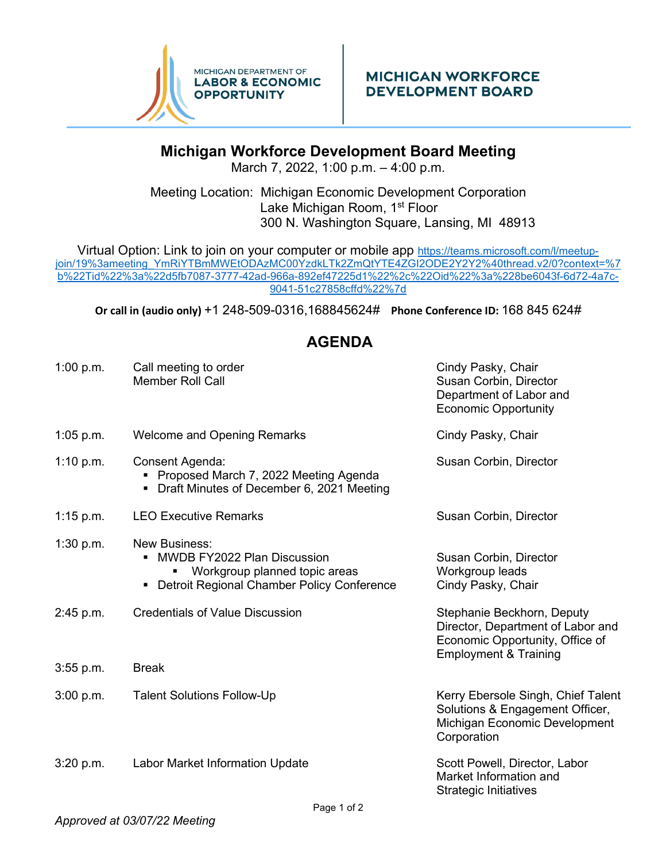

## **Michigan Workforce Development Board Meeting**

March 7, 2022, 1:00 p.m. – 4:00 p.m.

Meeting Location: Michigan Economic Development Corporation Lake Michigan Room, 1<sup>st</sup> Floor 300 N. Washington Square, Lansing, MI 48913

Virtual Option: Link to join on your computer or mobile app [https://teams.microsoft.com/l/meetup](https://teams.microsoft.com/l/meetup-join/19%3ameeting_YmRiYTBmMWEtODAzMC00YzdkLTk2ZmQtYTE4ZGI2ODE2Y2Y2%40thread.v2/0?context=%7b%22Tid%22%3a%22d5fb7087-3777-42ad-966a-892ef47225d1%22%2c%22Oid%22%3a%228be6043f-6d72-4a7c-9041-51c27858cffd%22%7d)[join/19%3ameeting\\_YmRiYTBmMWEtODAzMC00YzdkLTk2ZmQtYTE4ZGI2ODE2Y2Y2%40thread.v2/0?context=%7](https://teams.microsoft.com/l/meetup-join/19%3ameeting_YmRiYTBmMWEtODAzMC00YzdkLTk2ZmQtYTE4ZGI2ODE2Y2Y2%40thread.v2/0?context=%7b%22Tid%22%3a%22d5fb7087-3777-42ad-966a-892ef47225d1%22%2c%22Oid%22%3a%228be6043f-6d72-4a7c-9041-51c27858cffd%22%7d) [b%22Tid%22%3a%22d5fb7087-3777-42ad-966a-892ef47225d1%22%2c%22Oid%22%3a%228be6043f-6d72-4a7c-](https://teams.microsoft.com/l/meetup-join/19%3ameeting_YmRiYTBmMWEtODAzMC00YzdkLTk2ZmQtYTE4ZGI2ODE2Y2Y2%40thread.v2/0?context=%7b%22Tid%22%3a%22d5fb7087-3777-42ad-966a-892ef47225d1%22%2c%22Oid%22%3a%228be6043f-6d72-4a7c-9041-51c27858cffd%22%7d)[9041-51c27858cffd%22%7d](https://teams.microsoft.com/l/meetup-join/19%3ameeting_YmRiYTBmMWEtODAzMC00YzdkLTk2ZmQtYTE4ZGI2ODE2Y2Y2%40thread.v2/0?context=%7b%22Tid%22%3a%22d5fb7087-3777-42ad-966a-892ef47225d1%22%2c%22Oid%22%3a%228be6043f-6d72-4a7c-9041-51c27858cffd%22%7d)

**Or call in (audio only)** [+1 248-509-0316,168845624#](tel:+12485090316,,168845624#%20) **Phone Conference ID:** 168 845 624#

## **AGENDA**

| 1:00 p.m.   | Call meeting to order<br><b>Member Roll Call</b>                                                                                               | Cindy Pasky, Chair<br>Susan Corbin, Director<br>Department of Labor and<br><b>Economic Opportunity</b>                                 |
|-------------|------------------------------------------------------------------------------------------------------------------------------------------------|----------------------------------------------------------------------------------------------------------------------------------------|
| $1:05$ p.m. | <b>Welcome and Opening Remarks</b>                                                                                                             | Cindy Pasky, Chair                                                                                                                     |
| 1:10 p.m.   | Consent Agenda:<br>• Proposed March 7, 2022 Meeting Agenda<br>Draft Minutes of December 6, 2021 Meeting                                        | Susan Corbin, Director                                                                                                                 |
| $1:15$ p.m. | <b>LEO Executive Remarks</b>                                                                                                                   | Susan Corbin, Director                                                                                                                 |
| 1:30 p.m.   | <b>New Business:</b><br><b>MWDB FY2022 Plan Discussion</b><br>Workgroup planned topic areas<br>Detroit Regional Chamber Policy Conference<br>٠ | Susan Corbin, Director<br>Workgroup leads<br>Cindy Pasky, Chair                                                                        |
| 2:45 p.m.   | <b>Credentials of Value Discussion</b>                                                                                                         | Stephanie Beckhorn, Deputy<br>Director, Department of Labor and<br>Economic Opportunity, Office of<br><b>Employment &amp; Training</b> |
| $3:55$ p.m. | <b>Break</b>                                                                                                                                   |                                                                                                                                        |
| 3:00 p.m.   | <b>Talent Solutions Follow-Up</b>                                                                                                              | Kerry Ebersole Singh, Chief Talent<br>Solutions & Engagement Officer,<br>Michigan Economic Development<br>Corporation                  |
| 3:20 p.m.   | <b>Labor Market Information Update</b>                                                                                                         | Scott Powell, Director, Labor<br>Market Information and<br><b>Strategic Initiatives</b>                                                |